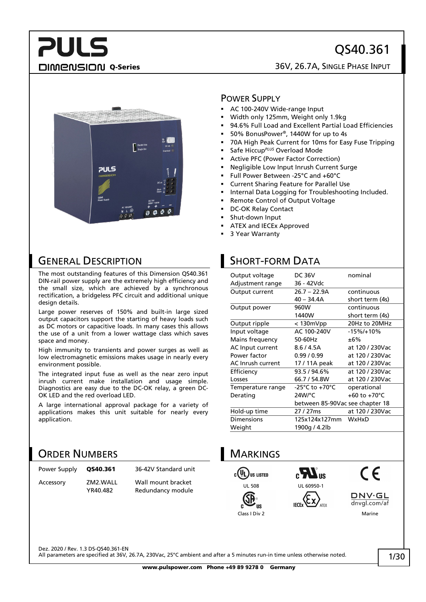## QS40.361

## **PULS**

#### DIMENSION Q-Series 26V, 26.7A, SINGLE PHASE INPUT



### GENERAL DESCRIPTION

The most outstanding features of this Dimension QS40.361 DIN-rail power supply are the extremely high efficiency and the small size, which are achieved by a synchronous rectification, a bridgeless PFC circuit and additional unique design details.

Large power reserves of 150% and built-in large sized output capacitors support the starting of heavy loads such as DC motors or capacitive loads. In many cases this allows the use of a unit from a lower wattage class which saves space and money.

High immunity to transients and power surges as well as low electromagnetic emissions makes usage in nearly every environment possible.

The integrated input fuse as well as the near zero input inrush current make installation and usage simple. Diagnostics are easy due to the DC-OK relay, a green DC-OK LED and the red overload LED.

A large international approval package for a variety of applications makes this unit suitable for nearly every application.

### ORDER NUMBERS

| Power Supply | OS40.361             | 36-42V Standard unit                    |
|--------------|----------------------|-----------------------------------------|
| Accessory    | ZM2.WALL<br>YR40.482 | Wall mount bracket<br>Redundancy module |

#### POWER SUPPLY

- AC 100-240V Wide-range Input
- Width only 125mm, Weight only 1.9kg
- 94.6% Full Load and Excellent Partial Load Efficiencies
- 50% BonusPower®, 1440W for up to 4s
- 70A High Peak Current for 10ms for Easy Fuse Tripping
- Safe Hiccup*PLUS* Overload Mode
- Active PFC (Power Factor Correction)
- Negligible Low Input Inrush Current Surge
- Full Power Between -25°C and +60°C
- Current Sharing Feature for Parallel Use
- Internal Data Logging for Troubleshooting Included.
- Remote Control of Output Voltage
- DC-OK Relay Contact
- Shut-down Input
- ATEX and IECEx Approved
- 3 Year Warranty

## SHORT-FORM DATA

| Output voltage    | <b>DC 36V</b>                   | nominal                 |
|-------------------|---------------------------------|-------------------------|
| Adjustment range  | 36 - 42Vdc                      |                         |
| Output current    | $26.7 - 22.9A$                  | continuous              |
|                   | $40 - 34.4A$                    | short term (4s)         |
| Output power      | 960W                            | continuous              |
|                   | 1440W                           | short term (4s)         |
| Output ripple     | $<$ 130 $mV$ pp                 | 20Hz to 20MHz           |
| Input voltage     | AC 100-240V                     | $-15\%/+10\%$           |
| Mains frequency   | 50-60Hz                         | ±6%                     |
| AC Input current  | 8.6 / 4.5A                      | at 120 / 230Vac         |
| Power factor      | 0.99/0.99                       | at 120 / 230Vac         |
| AC Inrush current | 17 / 11A peak                   | at 120 / 230Vac         |
| Efficiency        | 93.5/94.6%                      | at 120 / 230Vac         |
| Losses            | 66.7 / 54.8W                    | at 120 / 230Vac         |
| Temperature range | -25°C to +70°C                  | operational             |
| Derating          | 24W/°C                          | +60 to +70 $^{\circ}$ C |
|                   | between 85-90Vac see chapter 18 |                         |
| Hold-up time      | 27 / 27 ms                      | at 120 / 230Vac         |
| Dimensions        | 125x124x127mm                   | WxHxD                   |
| Weight            | 1900g / 4.2lb                   |                         |
|                   |                                 |                         |





**DNV·GL** dnvgl.com/af Class I Div 2 Marine

Dez. 2020 / Rev. 1.3 DS-QS40.361-EN

All parameters are specified at 36V, 26.7A, 230Vac, 25°C ambient and after a 5 minutes run-in time unless otherwise noted.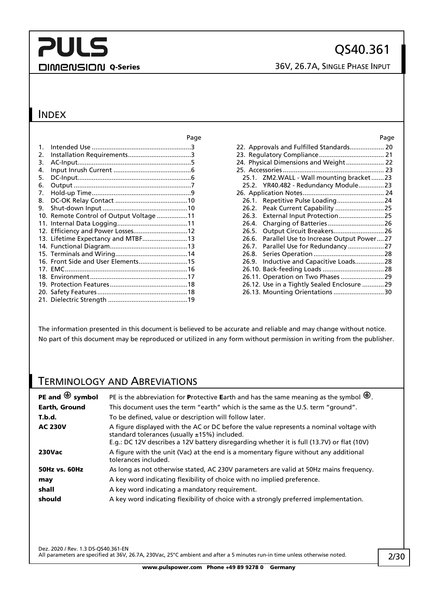## **PULS** DIMENSION Q-Series 36V, 26.7A, SINGLE PHASE INPUT

### INDEX

|                |                                         | rac |
|----------------|-----------------------------------------|-----|
| $\mathbf{1}$ . |                                         |     |
| 2.             |                                         |     |
| 3.             |                                         |     |
| 4.             |                                         |     |
| 5.             |                                         |     |
| 6.             |                                         |     |
| 7.             |                                         |     |
| 8.             |                                         |     |
| 9.             |                                         |     |
|                | 10. Remote Control of Output Voltage 11 |     |
|                |                                         |     |
|                | 12. Efficiency and Power Losses12       |     |
|                | 13. Lifetime Expectancy and MTBF13      |     |
|                |                                         |     |
|                |                                         |     |
|                | 16. Front Side and User Elements15      |     |
|                |                                         |     |
|                |                                         |     |
|                |                                         |     |
|                |                                         |     |
|                |                                         |     |
|                |                                         |     |

| Page  | Page                                          |
|-------|-----------------------------------------------|
| . 3   |                                               |
| . . 3 |                                               |
| . . 5 | 24. Physical Dimensions and Weight 22         |
| 6     |                                               |
| . . 6 | 25.1. ZM2.WALL - Wall mounting bracket23      |
| 7     | 25.2. YR40.482 - Redundancy Module23          |
| . . 9 |                                               |
| .10   | 26.1. Repetitive Pulse Loading24              |
| .10   | 26.2. Peak Current Capability  25             |
| .11   |                                               |
| .11   |                                               |
| .12   | 26.5. Output Circuit Breakers 26              |
| .13   | 26.6. Parallel Use to Increase Output Power27 |
| .13   | 26.7. Parallel Use for Redundancy 27          |
| .14   |                                               |
| .15   |                                               |
| .16   |                                               |
| .17   | 26.11. Operation on Two Phases  29            |
| .18   | 26.12. Use in a Tightly Sealed Enclosure 29   |
| .18   | 26.13. Mounting Orientations 30               |

The information presented in this document is believed to be accurate and reliable and may change without notice. No part of this document may be reproduced or utilized in any form without permission in writing from the publisher.

### TERMINOLOGY AND ABREVIATIONS

| PE and $\bigoplus$ symbol | PE is the abbreviation for Protective Earth and has the same meaning as the symbol $\bigoplus$ .                                                                                                                                      |
|---------------------------|---------------------------------------------------------------------------------------------------------------------------------------------------------------------------------------------------------------------------------------|
| Earth, Ground             | This document uses the term "earth" which is the same as the U.S. term "ground".                                                                                                                                                      |
| T.b.d.                    | To be defined, value or description will follow later.                                                                                                                                                                                |
| <b>AC 230V</b>            | A figure displayed with the AC or DC before the value represents a nominal voltage with<br>standard tolerances (usually ±15%) included.<br>E.g.: DC 12V describes a 12V battery disregarding whether it is full (13.7V) or flat (10V) |
| <b>230Vac</b>             | A figure with the unit (Vac) at the end is a momentary figure without any additional<br>tolerances included.                                                                                                                          |
| <b>50Hz vs. 60Hz</b>      | As long as not otherwise stated, AC 230V parameters are valid at 50Hz mains frequency.                                                                                                                                                |
| may                       | A key word indicating flexibility of choice with no implied preference.                                                                                                                                                               |
| shall                     | A key word indicating a mandatory requirement.                                                                                                                                                                                        |
| should                    | A key word indicating flexibility of choice with a strongly preferred implementation.                                                                                                                                                 |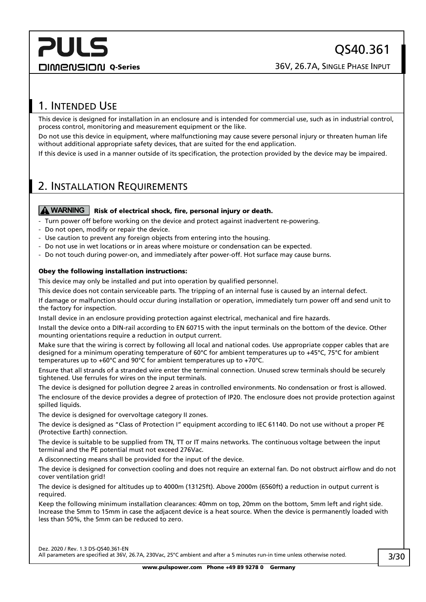## <span id="page-2-0"></span>1. INTENDED USE

This device is designed for installation in an enclosure and is intended for commercial use, such as in industrial control, process control, monitoring and measurement equipment or the like.

Do not use this device in equipment, where malfunctioning may cause severe personal injury or threaten human life without additional appropriate safety devices, that are suited for the end application.

If this device is used in a manner outside of its specification, the protection provided by the device may be impaired.

## <span id="page-2-1"></span>2. INSTALLATION REQUIREMENTS

#### **A** WARNING | Risk of electrical shock, fire, personal injury or death.

- Turn power off before working on the device and protect against inadvertent re-powering.
- Do not open, modify or repair the device.
- Use caution to prevent any foreign objects from entering into the housing.
- Do not use in wet locations or in areas where moisture or condensation can be expected.
- Do not touch during power-on, and immediately after power-off. Hot surface may cause burns.

#### Obey the following installation instructions:

This device may only be installed and put into operation by qualified personnel.

This device does not contain serviceable parts. The tripping of an internal fuse is caused by an internal defect.

If damage or malfunction should occur during installation or operation, immediately turn power off and send unit to the factory for inspection.

Install device in an enclosure providing protection against electrical, mechanical and fire hazards.

Install the device onto a DIN-rail according to EN 60715 with the input terminals on the bottom of the device. Other mounting orientations require a reduction in output current.

Make sure that the wiring is correct by following all local and national codes. Use appropriate copper cables that are designed for a minimum operating temperature of 60°C for ambient temperatures up to +45°C, 75°C for ambient temperatures up to +60°C and 90°C for ambient temperatures up to +70°C.

Ensure that all strands of a stranded wire enter the terminal connection. Unused screw terminals should be securely tightened. Use ferrules for wires on the input terminals.

The device is designed for pollution degree 2 areas in controlled environments. No condensation or frost is allowed. The enclosure of the device provides a degree of protection of IP20. The enclosure does not provide protection against spilled liquids.

The device is designed for overvoltage category II zones.

The device is designed as "Class of Protection I" equipment according to IEC 61140. Do not use without a proper PE (Protective Earth) connection.

The device is suitable to be supplied from TN, TT or IT mains networks. The continuous voltage between the input terminal and the PE potential must not exceed 276Vac.

A disconnecting means shall be provided for the input of the device.

The device is designed for convection cooling and does not require an external fan. Do not obstruct airflow and do not cover ventilation grid!

The device is designed for altitudes up to 4000m (13125ft). Above 2000m (6560ft) a reduction in output current is required.

Keep the following minimum installation clearances: 40mm on top, 20mm on the bottom, 5mm left and right side. Increase the 5mm to 15mm in case the adjacent device is a heat source. When the device is permanently loaded with less than 50%, the 5mm can be reduced to zero.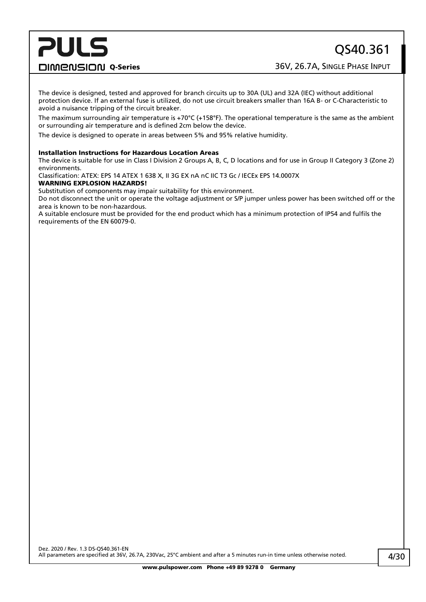DIMENSION Q-Series 36V, 26.7A, SINGLE PHASE INPUT

The device is designed, tested and approved for branch circuits up to 30A (UL) and 32A (IEC) without additional protection device. If an external fuse is utilized, do not use circuit breakers smaller than 16A B- or C-Characteristic to avoid a nuisance tripping of the circuit breaker.

The maximum surrounding air temperature is +70 $^{\circ}$ C (+158 $^{\circ}$ F). The operational temperature is the same as the ambient or surrounding air temperature and is defined 2cm below the device.

The device is designed to operate in areas between 5% and 95% relative humidity.

#### Installation Instructions for Hazardous Location Areas

The device is suitable for use in Class I Division 2 Groups A, B, C, D locations and for use in Group II Category 3 (Zone 2) environments.

Classification: ATEX: EPS 14 ATEX 1 638 X, II 3G EX nA nC IIC T3 Gc / IECEx EPS 14.0007X

#### WARNING EXPLOSION HAZARDS!

Substitution of components may impair suitability for this environment.

Do not disconnect the unit or operate the voltage adjustment or S/P jumper unless power has been switched off or the area is known to be non-hazardous.

A suitable enclosure must be provided for the end product which has a minimum protection of IP54 and fulfils the requirements of the EN 60079-0.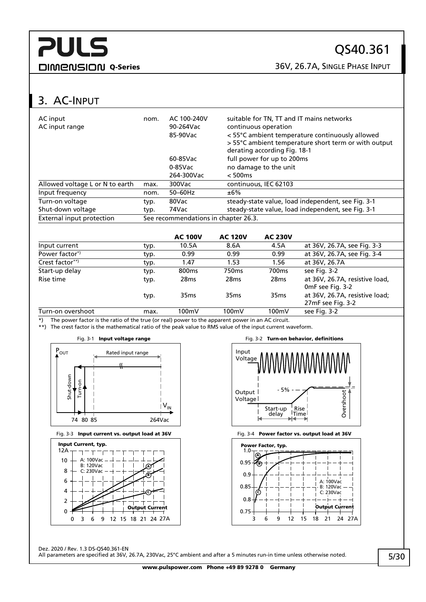## QS40.361

DIMENSION Q-Series 36V, 26.7A, SINGLE PHASE INPUT

## <span id="page-4-0"></span>3. AC-INPUT

| AC input<br>AC input range      | nom. | AC 100-240V<br>90-264Vac<br>85-90Vac | suitable for TN, TT and IT mains networks<br>continuous operation<br>< 55°C ambient temperature continuously allowed<br>> 55°C ambient temperature short term or with output<br>derating according Fig. 18-1 |
|---------------------------------|------|--------------------------------------|--------------------------------------------------------------------------------------------------------------------------------------------------------------------------------------------------------------|
|                                 |      | 60-85Vac                             | full power for up to 200ms                                                                                                                                                                                   |
|                                 |      | $0-85$ Vac                           | no damage to the unit                                                                                                                                                                                        |
|                                 |      | 264-300Vac                           | < 500ms                                                                                                                                                                                                      |
| Allowed voltage L or N to earth | max. | 300Vac                               | continuous, IEC 62103                                                                                                                                                                                        |
| Input frequency                 | nom. | $50-60$ Hz                           | ±6%                                                                                                                                                                                                          |
| Turn-on voltage                 | typ. | 80Vac                                | steady-state value, load independent, see Fig. 3-1                                                                                                                                                           |
| Shut-down voltage               | typ. | 74Vac                                | steady-state value, load independent, see Fig. 3-1                                                                                                                                                           |
| External input protection       |      | See recommendations in chapter 26.3. |                                                                                                                                                                                                              |
|                                 |      |                                      |                                                                                                                                                                                                              |

|                            |      | <b>AC 100V</b>    | <b>AC 120V</b>    | <b>AC 230V</b>    |                                                     |
|----------------------------|------|-------------------|-------------------|-------------------|-----------------------------------------------------|
| Input current              | typ. | 10.5A             | 8.6A              | 4.5A              | at 36V, 26.7A, see Fig. 3-3                         |
| Power factor <sup>*)</sup> | typ. | 0.99              | 0.99              | 0.99              | at 36V, 26.7A, see Fig. 3-4                         |
| Crest factor**)            | typ. | 1.47              | 1.53              | 1.56              | at 36V, 26.7A                                       |
| Start-up delay             | typ. | 800 <sub>ms</sub> | 750 <sub>ms</sub> | 700 <sub>ms</sub> | see Fig. 3-2                                        |
| Rise time                  | typ. | 28 <sub>ms</sub>  | 28 <sub>ms</sub>  | 28 <sub>ms</sub>  | at 36V, 26.7A, resistive load,<br>OmF see Fig. 3-2  |
|                            | typ. | 35 <sub>ms</sub>  | 35 <sub>ms</sub>  | 35 <sub>ms</sub>  | at 36V, 26.7A, resistive load;<br>27mF see Fig. 3-2 |
| Turn-on overshoot          | max. | 100mV             | 100mV             | 100mV             | see Fig. 3-2                                        |

\*) The power factor is the ratio of the true (or real) power to the apparent power in an AC circuit.

\*\*) The crest factor is the mathematical ratio of the peak value to RMS value of the input current waveform.

<span id="page-4-1"></span>

<span id="page-4-2"></span>





<span id="page-4-4"></span><span id="page-4-3"></span>

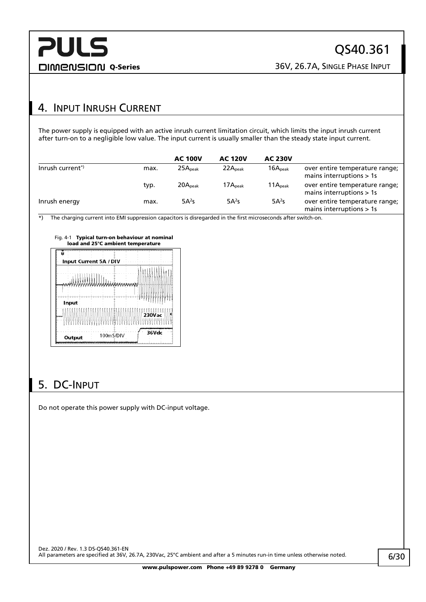## <span id="page-5-0"></span>4. INPUT INRUSH CURRENT

The power supply is equipped with an active inrush current limitation circuit, which limits the input inrush current after turn-on to a negligible low value. The input current is usually smaller than the steady state input current.

|                             |      | <b>AC 100V</b>      | <b>AC 120V</b>      | <b>AC 230V</b>      |                                                              |
|-----------------------------|------|---------------------|---------------------|---------------------|--------------------------------------------------------------|
| Inrush current <sup>*</sup> | max. | 25A <sub>peak</sub> | 22A <sub>peak</sub> | 16A <sub>peak</sub> | over entire temperature range;<br>mains interruptions $> 1s$ |
|                             | typ. | 20A <sub>peak</sub> | 17A <sub>peak</sub> | 11A <sub>peak</sub> | over entire temperature range;<br>mains interruptions $> 1s$ |
| Inrush energy               | max. | $5A^2s$             | 5A <sup>2</sup> S   | $5A^2s$             | over entire temperature range;<br>mains interruptions $> 1s$ |

 $\overline{\bullet}$ ) The charging current into EMI suppression capacitors is disregarded in the first microseconds after switch-on.

Fig. 4-1 Typical turn-on behaviour at nominal load and 25°C ambient temperature

|          | Input Current 5A / DIV |               |
|----------|------------------------|---------------|
| wWWWWWWW |                        |               |
| Input    |                        |               |
|          |                        | <b>230Vac</b> |
| Output   | 100mS/DIV              | 36Vdc         |

## <span id="page-5-1"></span>5. DC-INPUT

Do not operate this power supply with DC-input voltage.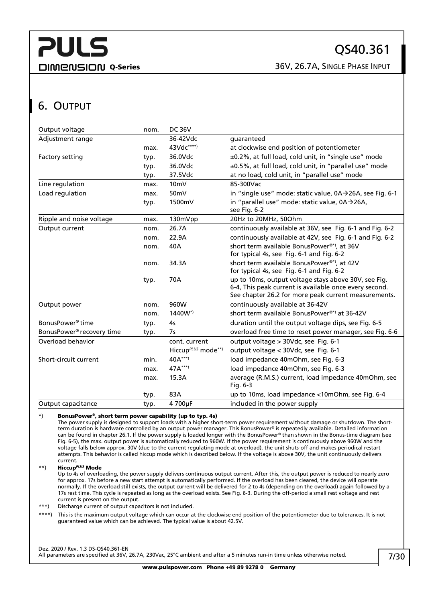DIMENSION Q-Series 26V, 26.7A, SINGLE PHASE INPUT

## <span id="page-6-0"></span>6. OUTPUT

| Output voltage                        | nom. | <b>DC 36V</b>                  |                                                          |
|---------------------------------------|------|--------------------------------|----------------------------------------------------------|
| Adjustment range                      |      | 36-42Vdc                       | quaranteed                                               |
|                                       | max. | 43Vdc****)                     | at clockwise end position of potentiometer               |
| Factory setting                       | typ. | 36.0Vdc                        | ±0.2%, at full load, cold unit, in "single use" mode     |
|                                       | typ. | 36.0Vdc                        | ±0.5%, at full load, cold unit, in "parallel use" mode   |
|                                       | typ. | 37.5Vdc                        | at no load, cold unit, in "parallel use" mode            |
| Line regulation                       | max. | 10 <sub>m</sub>                | 85-300Vac                                                |
| Load regulation                       | max. | 50mV                           | in "single use" mode: static value, 0A→26A, see Fig. 6-1 |
|                                       | typ. | 1500mV                         | in "parallel use" mode: static value, 0A→26A,            |
|                                       |      |                                | see Fig. 6-2                                             |
| Ripple and noise voltage              | max. | 130mVpp                        | 20Hz to 20MHz, 50Ohm                                     |
| Output current                        | nom. | 26.7A                          | continuously available at 36V, see Fig. 6-1 and Fig. 6-2 |
|                                       | nom. | 22.9A                          | continuously available at 42V, see Fig. 6-1 and Fig. 6-2 |
|                                       | nom. | 40A                            | short term available BonusPower®*), at 36V               |
|                                       |      |                                | for typical 4s, see Fig. 6-1 and Fig. 6-2                |
|                                       | nom. | 34.3A                          | short term available BonusPower®*), at 42V               |
|                                       |      |                                | for typical 4s, see Fig. 6-1 and Fig. 6-2                |
|                                       | typ. | 70A                            | up to 10ms, output voltage stays above 30V, see Fig.     |
|                                       |      |                                | 6-4, This peak current is available once every second.   |
|                                       |      |                                | See chapter 26.2 for more peak current measurements.     |
| Output power                          | nom. | 960W                           | continuously available at 36-42V                         |
|                                       | nom. | 1440W*)                        | short term available BonusPower®*) at 36-42V             |
| BonusPower <sup>®</sup> time          | typ. | 4 <sub>S</sub>                 | duration until the output voltage dips, see Fig. 6-5     |
| BonusPower <sup>®</sup> recovery time | typ. | 7s                             | overload free time to reset power manager, see Fig. 6-6  |
| Overload behavior                     |      | cont. current                  | output voltage > 30Vdc, see Fig. 6-1                     |
|                                       |      | Hiccup <sup>PLUS</sup> mode**) | output voltage < 30Vdc, see Fig. 6-1                     |
| Short-circuit current                 | min. | 40A***)                        | load impedance 40mOhm, see Fig. 6-3                      |
|                                       | max. | $47A***$                       | load impedance 40mOhm, see Fig. 6-3                      |
|                                       | max. | 15.3A                          | average (R.M.S.) current, load impedance 40mOhm, see     |
|                                       |      |                                | Fig. $6-3$                                               |
|                                       | typ. | 83A                            | up to 10ms, load impedance <10mOhm, see Fig. 6-4         |
| Output capacitance                    | typ. | 4700µF                         | included in the power supply                             |

#### \*) BonusPower®, short term power capability (up to typ. 4s)

The power supply is designed to support loads with a higher short-term power requirement without damage or shutdown. The shortterm duration is hardware controlled by an output power manager. This BonusPower® is repeatedly available. Detailed information can be found in chapte[r 26.1.](#page-23-1) If the power supply is loaded longer with the BonusPower® than shown in the Bonus-time diagram (see [Fig. 6-5\),](#page-7-3) the max. output power is automatically reduced to 960W. If the power requirement is continuously above 960W and the voltage falls below approx. 30V (due to the current regulating mode at overload), the unit shuts-off and makes periodical restart attempts. This behavior is called hiccup mode which is described below. If the voltage is above 30V, the unit continuously delivers current.

#### \*\*) Hiccup*PLUS* Mode

Up to 4s of overloading, the power supply delivers continuous output current. After this, the output power is reduced to nearly zero for approx. 17s before a new start attempt is automatically performed. If the overload has been cleared, the device will operate normally. If the overload still exists, the output current will be delivered for 2 to 4s (depending on the overload) again followed by a 17s rest time. This cycle is repeated as long as the overload exists. Se[e Fig. 6-3.](#page-7-5) During the off-period a small rest voltage and rest current is present on the output.

\*\*\*) Discharge current of output capacitors is not included.

\*\*\*\*) This is the maximum output voltage which can occur at the clockwise end position of the potentiometer due to tolerances. It is not guaranteed value which can be achieved. The typical value is about 42.5V.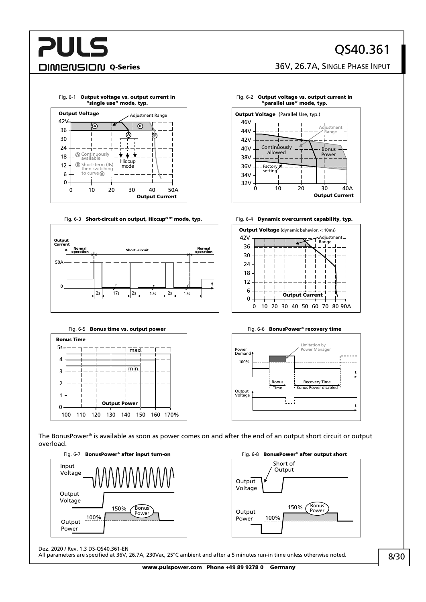## QS40.361

DIMENSION Q-Series 36V, 26.7A, SINGLE PHASE INPUT

<span id="page-7-0"></span>

#### <span id="page-7-5"></span>Fig. 6-3 **Short-circuit on output, Hiccup<sup>PLUS</sup> mode, typ.** Fig. 6-4 **Dynamic overcurrent capability, typ.**



<span id="page-7-3"></span>

100 120 130 140 150 170% 110 160



<span id="page-7-1"></span>Fig. 6-2 Output voltage vs. output current in

<span id="page-7-2"></span>





<span id="page-7-4"></span>

The BonusPower® is available as soon as power comes on and after the end of an output short circuit or output overload.





Dez. 2020 / Rev. 1.3 DS-QS40.361-EN

0

All parameters are specified at 36V, 26.7A, 230Vac, 25°C ambient and after a 5 minutes run-in time unless otherwise noted.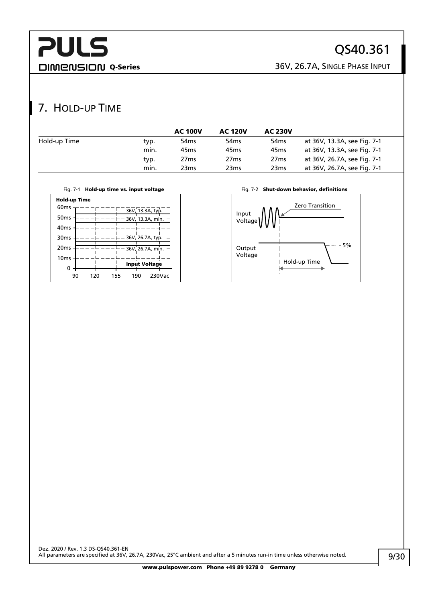## QS40.361

DIMENSION Q-Series 36V, 26.7A, SINGLE PHASE INPUT

## <span id="page-8-0"></span>7. HOLD-UP TIME

|              |      | <b>AC 100V</b>   | <b>AC 120V</b>   | <b>AC 230V</b>   |                             |
|--------------|------|------------------|------------------|------------------|-----------------------------|
| Hold-up Time | typ. | 54 <sub>ms</sub> | 54 <sub>ms</sub> | 54 <sub>ms</sub> | at 36V, 13.3A, see Fig. 7-1 |
|              | min. | 45 <sub>ms</sub> | 45 <sub>ms</sub> | 45ms             | at 36V, 13.3A, see Fig. 7-1 |
|              | typ. | 27 <sub>ms</sub> | 27 <sub>ms</sub> | 27 <sub>ms</sub> | at 36V, 26.7A, see Fig. 7-1 |
|              | min. | 23 <sub>ms</sub> | 23 <sub>ms</sub> | 23 <sub>ms</sub> | at 36V, 26.7A, see Fig. 7-1 |

<span id="page-8-1"></span>



| поки-ир типе     |     |     |     |                      |        |  |
|------------------|-----|-----|-----|----------------------|--------|--|
| 60 <sub>ms</sub> |     |     |     |                      |        |  |
|                  |     |     |     | 36V, 13.3A, typ.     |        |  |
| 50 <sub>ms</sub> |     |     |     | 36V, 13.3A, min.     |        |  |
| 40 <sub>ms</sub> |     |     |     |                      |        |  |
| 30 <sub>ms</sub> |     |     |     | 36V, 26.7A, typ.     |        |  |
| 20 <sub>ms</sub> |     |     |     | 36V, 26.7A, min.     |        |  |
|                  |     |     |     |                      |        |  |
| 10 <sub>ms</sub> |     |     |     |                      |        |  |
| 0                |     |     |     | <b>Input Voltage</b> |        |  |
|                  |     |     |     |                      |        |  |
| 90               | 120 | 155 | 190 |                      | 230Vac |  |

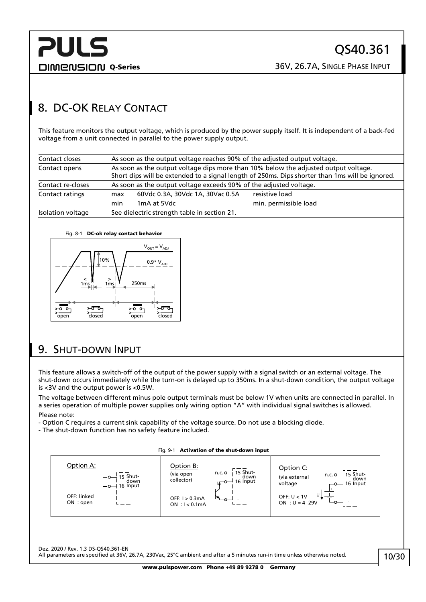## <span id="page-9-0"></span>8. DC-OK RELAY CONTACT

This feature monitors the output voltage, which is produced by the power supply itself. It is independent of a back-fed voltage from a unit connected in parallel to the power supply output.

| Contact closes    | As soon as the output voltage reaches 90% of the adjusted output voltage.                                                                                                              |                                  |                       |  |
|-------------------|----------------------------------------------------------------------------------------------------------------------------------------------------------------------------------------|----------------------------------|-----------------------|--|
| Contact opens     | As soon as the output voltage dips more than 10% below the adjusted output voltage.<br>Short dips will be extended to a signal length of 250ms. Dips shorter than 1ms will be ignored. |                                  |                       |  |
| Contact re-closes | As soon as the output voltage exceeds 90% of the adjusted voltage.                                                                                                                     |                                  |                       |  |
| Contact ratings   | max                                                                                                                                                                                    | 60Vdc 0.3A, 30Vdc 1A, 30Vac 0.5A | resistive load        |  |
|                   | min                                                                                                                                                                                    | 1mA at 5Vdc                      | min. permissible load |  |
| Isolation voltage | See dielectric strength table in section 21.                                                                                                                                           |                                  |                       |  |

#### Fig. 8-1 DC-ok relay contact behavior



## <span id="page-9-1"></span>9. SHUT-DOWN INPUT

This feature allows a switch-off of the output of the power supply with a signal switch or an external voltage. The shut-down occurs immediately while the turn-on is delayed up to 350ms. In a shut-down condition, the output voltage is <3V and the output power is <0.5W.

The voltage between different minus pole output terminals must be below 1V when units are connected in parallel. In a series operation of multiple power supplies only wiring option "A" with individual signal switches is allowed. Please note:

- Option C requires a current sink capability of the voltage source. Do not use a blocking diode.

- The shut-down function has no safety feature included.

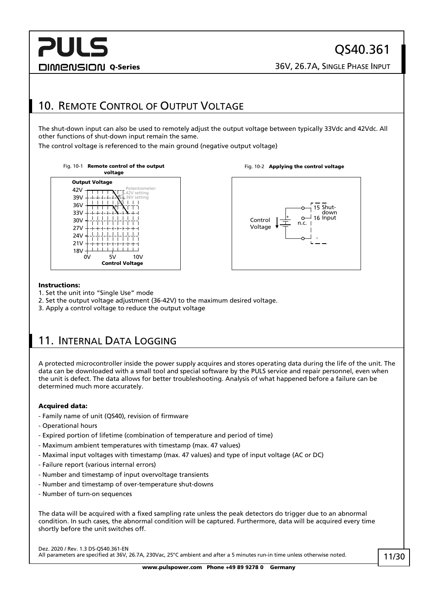## **PULS** DIMENSION Q-Series 26V, 26.7A, SINGLE PHASE INPUT

## <span id="page-10-0"></span>10. REMOTE CONTROL OF OUTPUT VOLTAGE

The shut-down input can also be used to remotely adjust the output voltage between typically 33Vdc and 42Vdc. All other functions of shut-down input remain the same.

The control voltage is referenced to the main ground (negative output voltage)









#### Instructions:

- 1. Set the unit into "Single Use" mode
- 2. Set the output voltage adjustment (36-42V) to the maximum desired voltage.
- 3. Apply a control voltage to reduce the output voltage

## <span id="page-10-1"></span>11. INTERNAL DATA LOGGING

A protected microcontroller inside the power supply acquires and stores operating data during the life of the unit. The data can be downloaded with a small tool and special software by the PULS service and repair personnel, even when the unit is defect. The data allows for better troubleshooting. Analysis of what happened before a failure can be determined much more accurately.

#### Acquired data:

- Family name of unit (QS40), revision of firmware
- Operational hours
- Expired portion of lifetime (combination of temperature and period of time)
- Maximum ambient temperatures with timestamp (max. 47 values)
- Maximal input voltages with timestamp (max. 47 values) and type of input voltage (AC or DC)
- Failure report (various internal errors)
- Number and timestamp of input overvoltage transients
- Number and timestamp of over-temperature shut-downs
- Number of turn-on sequences

The data will be acquired with a fixed sampling rate unless the peak detectors do trigger due to an abnormal condition. In such cases, the abnormal condition will be captured. Furthermore, data will be acquired every time shortly before the unit switches off.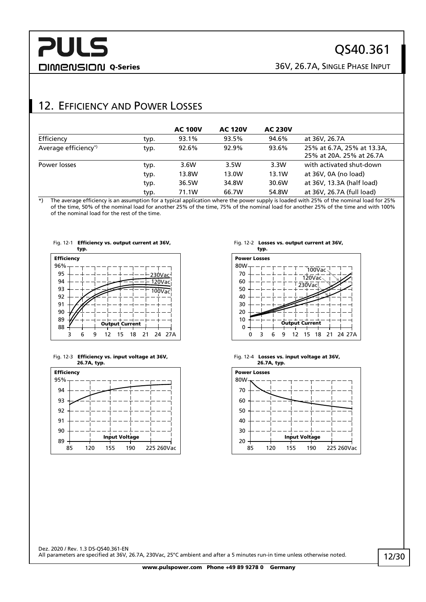## **PULS** DIMENSION Q-Series 36V, 26.7A, SINGLE PHASE INPUT

## QS40.361

## <span id="page-11-0"></span>12. EFFICIENCY AND POWER LOSSES

|                      |      | <b>AC 100V</b> | <b>AC 120V</b> | <b>AC 230V</b> |                                                        |
|----------------------|------|----------------|----------------|----------------|--------------------------------------------------------|
| Efficiency           | typ. | 93.1%          | 93.5%          | 94.6%          | at 36V, 26.7A                                          |
| Average efficiency*) | typ. | 92.6%          | 92.9%          | 93.6%          | 25% at 6.7A, 25% at 13.3A,<br>25% at 20A, 25% at 26.7A |
| Power losses         | typ. | 3.6W           | 3.5W           | 3.3W           | with activated shut-down                               |
|                      | typ. | 13.8W          | 13.0W          | 13.1W          | at 36V, 0A (no load)                                   |
|                      | typ. | 36.5W          | 34.8W          | 30.6W          | at 36V, 13.3A (half load)                              |
|                      | typ. | 71.1W          | 66.7W          | 54.8W          | at 36V, 26.7A (full load)                              |

\*) The average efficiency is an assumption for a typical application where the power supply is loaded with 25% of the nominal load for 25% of the time, 50% of the nominal load for another 25% of the time, 75% of the nominal load for another 25% of the time and with 100% of the nominal load for the rest of the time.



Fig. 12-1 Efficiency vs. output current at 36V,





#### Fig. 12-2 Losses vs. output current at 36V,





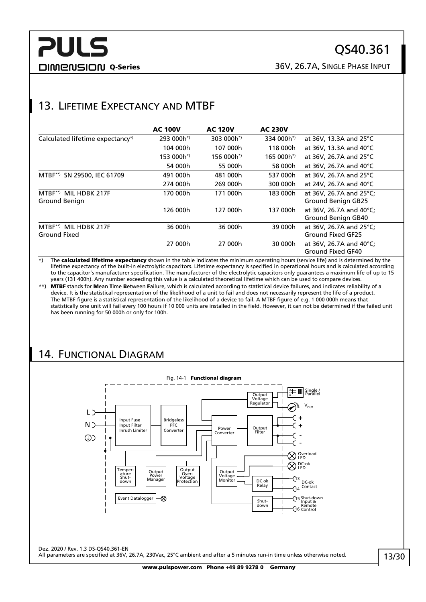## QS40.361

DIMENSION Q-Series 36V, 26.7A, SINGLE PHASE INPUT

## <span id="page-12-0"></span>13. LIFETIME EXPECTANCY AND MTBF

|                                              | <b>AC 100V</b>         | <b>AC 120V</b>         | <b>AC 230V</b>         |                                                      |
|----------------------------------------------|------------------------|------------------------|------------------------|------------------------------------------------------|
| Calculated lifetime expectancy <sup>*</sup>  | 293 000h <sup>*)</sup> | 303 000h <sup>*)</sup> | 334 000h <sup>*)</sup> | at 36V, 13.3A and 25°C                               |
|                                              | 104 000h               | 107 000h               | 118 000h               | at 36V, 13.3A and 40°C                               |
|                                              | 153 000h <sup>*)</sup> | 156 000h <sup>*)</sup> | $165000h^{*}$          | at 36V, 26.7A and 25°C                               |
|                                              | 54 000h                | 55 000h                | 58 000h                | at 36V, 26.7A and 40°C                               |
| SN 29500, IEC 61709<br>$MTBF^{**}$           | 491 000h               | 481 000h               | 537 000h               | at 36V, 26.7A and 25°C                               |
|                                              | 274 000h               | 269 000h               | 300 000h               | at 24V, 26.7A and 40°C                               |
| MTBF**) MIL HDBK 217F<br>Ground Benign       | 170 000h               | 171 000h               | 183 000h               | at 36V, 26.7A and 25°C;<br><b>Ground Benign GB25</b> |
|                                              | 126 000h               | 127 000h               | 137 000h               | at 36V, 26.7A and 40°C:<br>Ground Benign GB40        |
| MIL HDBK 217F<br>$MTBF^{**}$<br>Ground Fixed | 36 000h                | 36 000h                | 39 000h                | at 36V, 26.7A and 25°C;<br>Ground Fixed GF25         |
|                                              | 27 000h                | 27 000h                | 30 000h                | at 36V, 26.7A and 40°C;<br>Ground Fixed GF40         |

\*) The calculated lifetime expectancy shown in the table indicates the minimum operating hours (service life) and is determined by the lifetime expectancy of the built-in electrolytic capacitors. Lifetime expectancy is specified in operational hours and is calculated according to the capacitor's manufacturer specification. The manufacturer of the electrolytic capacitors only guarantees a maximum life of up to 15 years (131 400h). Any number exceeding this value is a calculated theoretical lifetime which can be used to compare devices.

\*\*) MTBF stands for Mean Time Between Failure, which is calculated according to statistical device failures, and indicates reliability of a device. It is the statistical representation of the likelihood of a unit to fail and does not necessarily represent the life of a product. The MTBF figure is a statistical representation of the likelihood of a device to fail. A MTBF figure of e.g. 1 000 000h means that statistically one unit will fail every 100 hours if 10 000 units are installed in the field. However, it can not be determined if the failed unit has been running for 50 000h or only for 100h.

## <span id="page-12-1"></span>14. FUNCTIONAL DIAGRAM

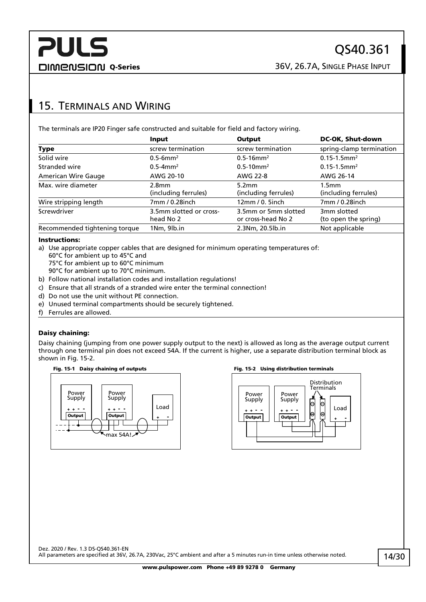## <span id="page-13-0"></span>15. TERMINALS AND WIRING

The terminals are IP20 Finger safe constructed and suitable for field and factory wiring.

|                               | Input                     | Output                     | DC-OK, Shut-down             |
|-------------------------------|---------------------------|----------------------------|------------------------------|
| Type                          | screw termination         | screw termination          | spring-clamp termination     |
| Solid wire                    | $0.5 - 6$ mm <sup>2</sup> | $0.5 - 16$ mm <sup>2</sup> | $0.15 - 1.5$ mm <sup>2</sup> |
| Stranded wire                 | $0.5 - 4$ mm <sup>2</sup> | $0.5 - 10$ mm <sup>2</sup> | $0.15 - 1.5$ mm <sup>2</sup> |
| American Wire Gauge           | AWG 20-10                 | AWG 22-8                   | AWG 26-14                    |
| Max. wire diameter            | 2.8 <sub>mm</sub>         | 5.2 <sub>mm</sub>          | 1.5 <sub>mm</sub>            |
|                               | (including ferrules)      | (including ferrules)       | (including ferrules)         |
| Wire stripping length         | 7mm / 0.28inch            | 12mm/0.5inch               | 7mm / 0.28inch               |
| Screwdriver                   | 3.5mm slotted or cross-   | 3.5mm or 5mm slotted       | 3mm slotted                  |
|                               | head No 2                 | or cross-head No 2         | (to open the spring)         |
| Recommended tightening torque | 1Nm, 9lb.in               | 2.3Nm, 20.5lb.in           | Not applicable               |

#### Instructions:

a) Use appropriate copper cables that are designed for minimum operating temperatures of:

- 60°C for ambient up to 45°C and
- 75°C for ambient up to 60°C minimum
- 90°C for ambient up to 70°C minimum.
- b) Follow national installation codes and installation regulations!
- c) Ensure that all strands of a stranded wire enter the terminal connection!
- d) Do not use the unit without PE connection.
- e) Unused terminal compartments should be securely tightened.
- f) Ferrules are allowed.

#### Daisy chaining:

Daisy chaining (jumping from one power supply output to the next) is allowed as long as the average output current through one terminal pin does not exceed 54A. If the current is higher, use a separate distribution terminal block as shown in [Fig. 15-2.](#page-13-1)





#### Fig. 15-1 Daisy chaining of outputs Fig. 15-2 Using distribution terminals

<span id="page-13-1"></span>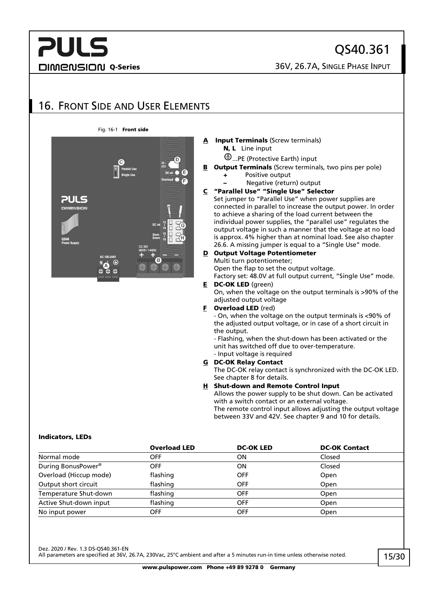## **PULS DIMENSION Q-Series** 26V, 26.7A, SINGLE PHASE INPUT

QS40.361

## <span id="page-14-0"></span>16. FRONT SIDE AND USER ELEMENTS

#### Fig. 16-1 Front side



#### **Input Terminals (Screw terminals)** N, L Line input

- ...PE (Protective Earth) input
- **B** Output Terminals (Screw terminals, two pins per pole)
	- + Positive output
		- Negative (return) output

#### C "Parallel Use" "Single Use" Selector

Set jumper to "Parallel Use" when power supplies are connected in parallel to increase the output power. In order to achieve a sharing of the load current between the individual power supplies, the "parallel use" regulates the output voltage in such a manner that the voltage at no load is approx. 4% higher than at nominal load. See also chapter [26.6.](#page-26-0) A missing jumper is equal to a "Single Use" mode.

#### D Output Voltage Potentiometer Multi turn potentiometer;

Open the flap to set the output voltage.

Factory set: 48.0V at full output current, "Single Use" mode. E DC-OK LED (green)

On, when the voltage on the output terminals is >90% of the adjusted output voltage

#### **F** Overload LED (red)

- On, when the voltage on the output terminals is <90% of the adjusted output voltage, or in case of a short circuit in the output.

- Flashing, when the shut-down has been activated or the unit has switched off due to over-temperature.

#### - Input voltage is required G DC-OK Relay Contact

The DC-OK relay contact is synchronized with the DC-OK LED. See chapte[r 8](#page-9-0) for details.

#### H Shut-down and Remote Control Input

Allows the power supply to be shut down. Can be activated with a switch contact or an external voltage. The remote control input allows adjusting the output voltage

between 33V and 42V. See chapter [9](#page-9-1) and [10](#page-10-0) for details.

#### Indicators, LEDs

|                                | <b>Overload LED</b> | <b>DC-OK LED</b> | <b>DC-OK Contact</b> |
|--------------------------------|---------------------|------------------|----------------------|
| Normal mode                    | <b>OFF</b>          | ΟN               | Closed               |
| During BonusPower <sup>®</sup> | <b>OFF</b>          | ΟN               | Closed               |
| Overload (Hiccup mode)         | flashing            | <b>OFF</b>       | Open                 |
| Output short circuit           | flashing            | <b>OFF</b>       | Open                 |
| Temperature Shut-down          | flashing            | <b>OFF</b>       | Open                 |
| Active Shut-down input         | flashing            | <b>OFF</b>       | Open                 |
| No input power                 | <b>OFF</b>          | <b>OFF</b>       | <b>Open</b>          |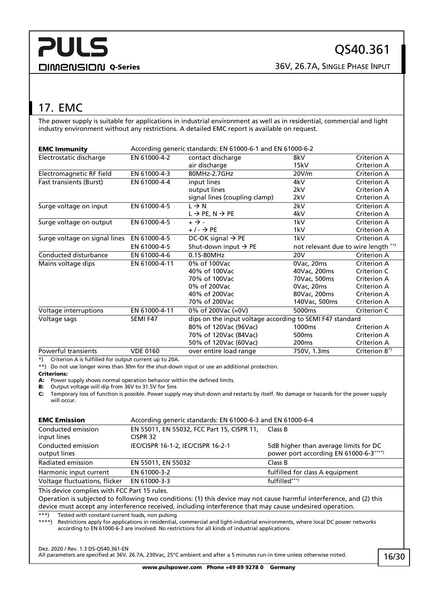## <span id="page-15-0"></span>17. EMC

The power supply is suitable for applications in industrial environment as well as in residential, commercial and light industry environment without any restrictions. A detailed EMC report is available on request.

| <b>EMC Immunity</b>            | According generic standards: EN 61000-6-1 and EN 61000-6-2 |                                                          |                                     |                    |
|--------------------------------|------------------------------------------------------------|----------------------------------------------------------|-------------------------------------|--------------------|
| Electrostatic discharge        | EN 61000-4-2                                               | contact discharge                                        | 8kV                                 | Criterion A        |
|                                |                                                            | air discharge                                            | 15kV                                | Criterion A        |
| Electromagnetic RF field       | EN 61000-4-3                                               | 80MHz-2.7GHz                                             | 20V/m                               | Criterion A        |
| <b>Fast transients (Burst)</b> | EN 61000-4-4                                               | input lines                                              | 4kV                                 | Criterion A        |
|                                |                                                            | output lines                                             | 2kV                                 | Criterion A        |
|                                |                                                            | signal lines (coupling clamp)                            | 2kV                                 | <b>Criterion A</b> |
| Surge voltage on input         | EN 61000-4-5                                               | $L \rightarrow N$                                        | 2kV                                 | Criterion A        |
|                                |                                                            | $L \rightarrow PE$ , N $\rightarrow PE$                  | 4kV                                 | Criterion A        |
| Surge voltage on output        | EN 61000-4-5                                               | $+ \rightarrow -$                                        | 1kV                                 | Criterion A        |
|                                |                                                            | $+/ \rightarrow$ PE                                      | 1kV                                 | Criterion A        |
| Surge voltage on signal lines  | EN 61000-4-5                                               | DC-OK signal $\rightarrow$ PE                            | 1kV                                 | Criterion A        |
|                                | EN 61000-4-5                                               | Shut-down input $\rightarrow$ PE                         | not relevant due to wire length **) |                    |
| Conducted disturbance          | EN 61000-4-6                                               | 0.15-80MHz                                               | 20 <sub>V</sub>                     | Criterion A        |
| Mains voltage dips             | EN 61000-4-11                                              | $0\%$ of 100Vac                                          | 0Vac, 20ms                          | Criterion A        |
|                                |                                                            | 40% of 100Vac                                            | 40Vac, 200ms                        | Criterion C        |
|                                |                                                            | 70% of 100Vac                                            | 70Vac, 500ms                        | <b>Criterion A</b> |
|                                |                                                            | 0% of 200Vac                                             | 0Vac, 20ms                          | Criterion A        |
|                                |                                                            | 40% of 200Vac                                            | 80Vac, 200ms                        | Criterion A        |
|                                |                                                            | 70% of 200Vac                                            | 140Vac, 500ms                       | Criterion A        |
| Voltage interruptions          | EN 61000-4-11                                              | 0% of 200Vac (=0V)                                       | 5000ms                              | Criterion C        |
| Voltage sags                   | SEMI F47                                                   | dips on the input voltage according to SEMI F47 standard |                                     |                    |
|                                |                                                            | 80% of 120Vac (96Vac)                                    | 1000 <sub>ms</sub>                  | Criterion A        |
|                                |                                                            | 70% of 120Vac (84Vac)                                    | 500 <sub>ms</sub>                   | Criterion A        |
|                                |                                                            | 50% of 120Vac (60Vac)                                    | 200 <sub>ms</sub>                   | Criterion A        |
| Powerful transients            | <b>VDE 0160</b>                                            | over entire load range                                   | 750V, 1.3ms                         | Criterion B*)      |

\*) Criterion A is fulfilled for output current up to 20A.

\*\*) Do not use longer wires than 30m for the shut-down input or use an additional protection.

#### Criterions:

A: Power supply shows normal operation behavior within the defined limits.

B: Output voltage will dip from 36V to 31.5V for 5ms

C: Temporary loss of function is possible. Power supply may shut-down and restarts by itself. No damage or hazards for the power supply will occur.

| <b>EMC Emission</b>                | According generic standards: EN 61000-6-3 and EN 61000-6-4 |                                                                                 |
|------------------------------------|------------------------------------------------------------|---------------------------------------------------------------------------------|
| Conducted emission<br>input lines  | EN 55011, EN 55032, FCC Part 15, CISPR 11,<br>CISPR 32     | Class B                                                                         |
| Conducted emission<br>output lines | IEC/CISPR 16-1-2, IEC/CISPR 16-2-1                         | 5dB higher than average limits for DC<br>power port according EN 61000-6-3****) |
| Radiated emission                  | EN 55011, EN 55032                                         | Class B                                                                         |
| Harmonic input current             | EN 61000-3-2                                               | fulfilled for class A equipment                                                 |
| Voltage fluctuations, flicker      | EN 61000-3-3                                               | fulfilled***)                                                                   |

This device complies with FCC Part 15 rules.

Operation is subjected to following two conditions: (1) this device may not cause harmful interference, and (2) this device must accept any interference received, including interference that may cause undesired operation.

\*\*\*) Tested with constant current loads, non pulsing

\*\*\*\*) Restrictions apply for applications in residential, commercial and light-industrial environments, where local DC power networks according to EN 61000-6-3 are involved. No restrictions for all kinds of industrial applications.

Dez. 2020 / Rev. 1.3 DS-QS40.361-EN

All parameters are specified at 36V, 26.7A, 230Vac, 25°C ambient and after a 5 minutes run-in time unless otherwise noted.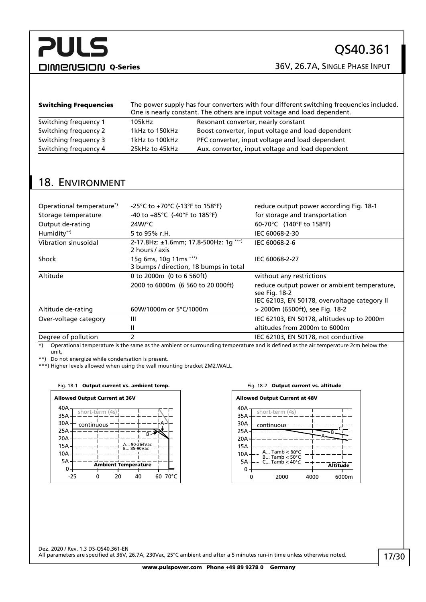DIMENSION Q-Series 36V, 26.7A, SINGLE PHASE INPUT

| <b>Switching Frequencies</b> | The power supply has four converters with four different switching frequencies included.<br>One is nearly constant. The others are input voltage and load dependent. |                                                   |  |
|------------------------------|----------------------------------------------------------------------------------------------------------------------------------------------------------------------|---------------------------------------------------|--|
| Switching frequency 1        | 105kHz                                                                                                                                                               | Resonant converter, nearly constant               |  |
| Switching frequency 2        | 1kHz to 150kHz                                                                                                                                                       | Boost converter, input voltage and load dependent |  |
| Switching frequency 3        | 1kHz to 100kHz                                                                                                                                                       | PFC converter, input voltage and load dependent   |  |
| Switching frequency 4        | 25kHz to 45kHz                                                                                                                                                       | Aux. converter, input voltage and load dependent  |  |

## <span id="page-16-0"></span>18. ENVIRONMENT

| Operational temperature <sup>*</sup> | -25°C to +70°C (-13°F to 158°F)                                  | reduce output power according Fig. 18-1                                                                      |
|--------------------------------------|------------------------------------------------------------------|--------------------------------------------------------------------------------------------------------------|
| Storage temperature                  | -40 to $+85^{\circ}$ C (-40°F to 185°F)                          | for storage and transportation                                                                               |
| Output de-rating                     | $24W$ °C                                                         | 60-70°C (140°F to 158°F)                                                                                     |
| Humidity**)                          | 5 to 95% r.H.                                                    | IEC 60068-2-30                                                                                               |
| Vibration sinusoidal                 | 2-17.8Hz: ±1.6mm; 17.8-500Hz: 1g ***)<br>2 hours / axis          | IEC 60068-2-6                                                                                                |
| Shock                                | 15g 6ms, 10g 11ms ***)<br>3 bumps / direction, 18 bumps in total | IEC 60068-2-27                                                                                               |
| Altitude                             | 0 to 2000m (0 to 6 560ft)                                        | without any restrictions                                                                                     |
|                                      | 2000 to 6000m (6 560 to 20 000ft)                                | reduce output power or ambient temperature,<br>see Fig. 18-2<br>IEC 62103, EN 50178, overvoltage category II |
| Altitude de-rating                   | 60W/1000m or 5°C/1000m                                           | > 2000m (6500ft), see Fig. 18-2                                                                              |
| Over-voltage category                | Ш                                                                | IEC 62103, EN 50178, altitudes up to 2000m                                                                   |
|                                      | Ш                                                                | altitudes from 2000m to 6000m                                                                                |
| Degree of pollution                  | 2                                                                | IEC 62103, EN 50178, not conductive                                                                          |

\*) Operational temperature is the same as the ambient or surrounding temperature and is defined as the air temperature 2cm below the unit.

\*\*) Do not energize while condensation is present.

\*\*\*) Higher levels allowed when using the wall mounting bracket ZM2.WALL

#### <span id="page-16-1"></span>Fig. 18-1 Output current vs. ambient temp. The South Control of Fig. 18-2 Output current vs. altitude



<span id="page-16-2"></span>

| <b>Allowed Output Current at 48V</b> |                                                      |      |                 |
|--------------------------------------|------------------------------------------------------|------|-----------------|
| 40A                                  | short-term (4s)                                      |      |                 |
| 35A                                  |                                                      |      |                 |
| 30A                                  | continuous <sup>:</sup>                              |      |                 |
| 25A                                  |                                                      |      |                 |
| 20A                                  |                                                      |      |                 |
| 15A                                  |                                                      |      |                 |
| 10A                                  | A Tamb $< 60^{\circ}$ C<br>$B$ Tamb $< 50^{\circ}$ C |      |                 |
| 5A                                   | C Tamb $< 40^{\circ}$ C                              |      | <b>Altitude</b> |
|                                      | 2000                                                 | 4000 | 6000m           |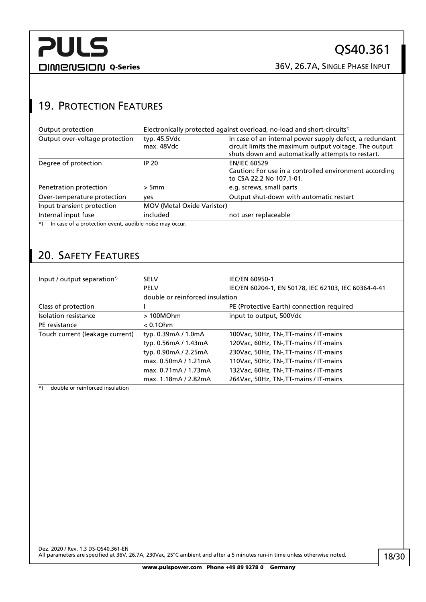DIMENSION Q-Series 36V, 26.7A, SINGLE PHASE INPUT

## <span id="page-17-0"></span>19. PROTECTION FEATURES

| Output protection                                                    | Electronically protected against overload, no-load and short-circuits <sup>*</sup> |                                                                                                                                                                       |  |
|----------------------------------------------------------------------|------------------------------------------------------------------------------------|-----------------------------------------------------------------------------------------------------------------------------------------------------------------------|--|
| Output over-voltage protection                                       | typ. 45.5Vdc<br>max. 48Vdc                                                         | In case of an internal power supply defect, a redundant<br>circuit limits the maximum output voltage. The output<br>shuts down and automatically attempts to restart. |  |
| Degree of protection                                                 | IP 20                                                                              | <b>EN/IEC 60529</b><br>Caution: For use in a controlled environment according<br>to CSA 22.2 No 107.1-01.                                                             |  |
| Penetration protection                                               | > 5mm                                                                              | e.g. screws, small parts                                                                                                                                              |  |
| Over-temperature protection                                          | yes                                                                                | Output shut-down with automatic restart                                                                                                                               |  |
| Input transient protection                                           | <b>MOV (Metal Oxide Varistor)</b>                                                  |                                                                                                                                                                       |  |
| Internal input fuse                                                  | included                                                                           | not user replaceable                                                                                                                                                  |  |
| In case of a protection event, audible noise may occur.<br>$\star$ ) |                                                                                    |                                                                                                                                                                       |  |

## <span id="page-17-1"></span>20. SAFETY FEATURES

| Input / output separation*)     | <b>SELV</b>                     | <b>IEC/EN 60950-1</b>                               |
|---------------------------------|---------------------------------|-----------------------------------------------------|
|                                 | <b>PELV</b>                     | IEC/EN 60204-1, EN 50178, IEC 62103, IEC 60364-4-41 |
|                                 | double or reinforced insulation |                                                     |
| Class of protection             |                                 | PE (Protective Earth) connection required           |
| Isolation resistance            | >100MOhm                        | input to output, 500Vdc                             |
| PE resistance                   | $< 0.1$ Ohm                     |                                                     |
| Touch current (leakage current) | typ. 0.39mA / 1.0mA             | 100Vac, 50Hz, TN-, TT-mains / IT-mains              |
|                                 | typ. 0.56mA / 1.43mA            | 120Vac, 60Hz, TN-, TT-mains / IT-mains              |
|                                 | typ. 0.90mA / 2.25mA            | 230Vac, 50Hz, TN-, TT-mains / IT-mains              |
|                                 | max. 0.50mA / 1.21mA            | 110Vac, 50Hz, TN-, TT-mains / IT-mains              |
|                                 | max. 0.71mA / 1.73mA            | 132Vac, 60Hz, TN-, TT-mains / IT-mains              |
|                                 | max. 1.18mA / 2.82mA            | 264Vac, 50Hz, TN-, TT-mains / IT-mains              |

\*) double or reinforced insulation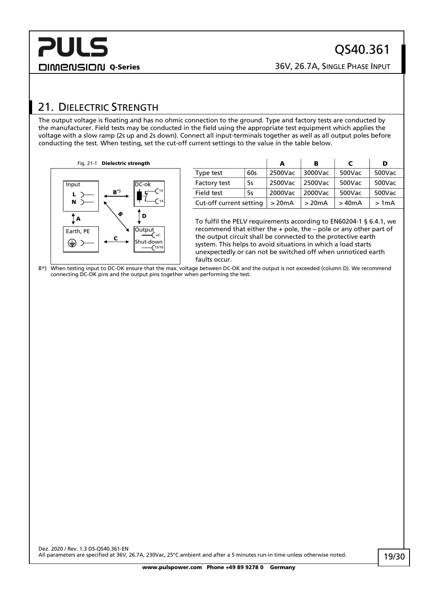## <span id="page-18-0"></span>21. DIELECTRIC STRENGTH

The output voltage is floating and has no ohmic connection to the ground. Type and factory tests are conducted by the manufacturer. Field tests may be conducted in the field using the appropriate test equipment which applies the voltage with a slow ramp (2s up and 2s down). Connect all input-terminals together as well as all output poles before conducting the test. When testing, set the cut-off current settings to the value in the table below.

Fig. 21-1 Dielectric strength



|                         |     | А       | в       | C      | D      |
|-------------------------|-----|---------|---------|--------|--------|
| Type test               | 60s | 2500Vac | 3000Vac | 500Vac | 500Vac |
| Factory test            | 5s  | 2500Vac | 2500Vac | 500Vac | 500Vac |
| Field test              | 5s  | 2000Vac | 2000Vac | 500Vac | 500Vac |
| Cut-off current setting |     | >20mA   | >20mA   | > 40mA | >1mA   |

To fulfil the PELV requirements according to EN60204-1 § 6.4.1, we recommend that either the + pole, the – pole or any other part of the output circuit shall be connected to the protective earth system. This helps to avoid situations in which a load starts unexpectedly or can not be switched off when unnoticed earth faults occur.

B\*) When testing input to DC-OK ensure that the max. voltage between DC-OK and the output is not exceeded (column D). We recommend connecting DC-OK pins and the output pins together when performing the test.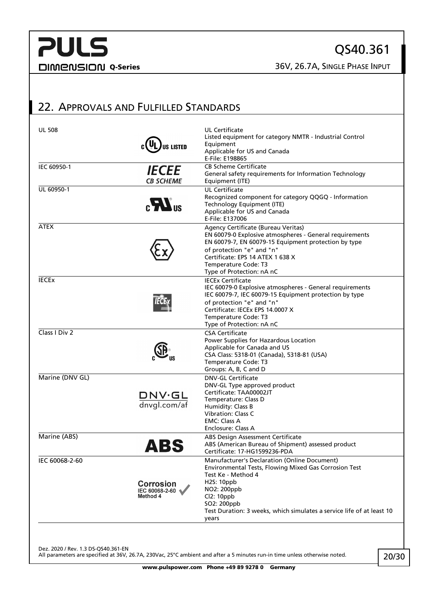QS40.361

## <span id="page-19-0"></span>22. APPROVALS AND FULFILLED STANDARDS

| IEC 60950-1     |                                                | Applicable for US and Canada<br>E-File: E198865                                                                                                                                                                                                                                |
|-----------------|------------------------------------------------|--------------------------------------------------------------------------------------------------------------------------------------------------------------------------------------------------------------------------------------------------------------------------------|
|                 | <i><b>IECEE</b></i><br><b>CB SCHEME</b>        | <b>CB Scheme Certificate</b><br>General safety requirements for Information Technology<br>Equipment (ITE)                                                                                                                                                                      |
| UL 60950-1      | $\mathbf{r}$                                   | <b>UL Certificate</b><br>Recognized component for category QQGQ - Information<br>Technology Equipment (ITE)<br>Applicable for US and Canada<br>E-File: E137006                                                                                                                 |
| <b>ATEX</b>     |                                                | Agency Certificate (Bureau Veritas)<br>EN 60079-0 Explosive atmospheres - General requirements<br>EN 60079-7, EN 60079-15 Equipment protection by type<br>of protection "e" and "n"<br>Certificate: EPS 14 ATEX 1 638 X<br>Temperature Code: T3<br>Type of Protection: nA nC   |
| <b>IECEX</b>    |                                                | <b>IECEx Certificate</b><br>IEC 60079-0 Explosive atmospheres - General requirements<br>IEC 60079-7, IEC 60079-15 Equipment protection by type<br>of protection "e" and "n"<br>Certificate: IECEx EPS 14,0007 X<br>Temperature Code: T3<br>Type of Protection: nA nC           |
| Class I Div 2   |                                                | <b>CSA Certificate</b><br>Power Supplies for Hazardous Location<br>Applicable for Canada and US<br>CSA Class: 5318-01 (Canada), 5318-81 (USA)<br>Temperature Code: T3<br>Groups: A, B, C and D                                                                                 |
| Marine (DNV GL) | DNV.GL<br>dnvgl.com/af                         | <b>DNV-GL Certificate</b><br>DNV-GL Type approved product<br>Certificate: TAA00002JT<br>Temperature: Class D<br>Humidity: Class B<br>Vibration: Class C<br><b>EMC: Class A</b><br>Enclosure: Class A                                                                           |
| Marine (ABS)    | ABS                                            | ABS Design Assessment Certificate<br>ABS (American Bureau of Shipment) assessed product<br>Certificate: 17-HG1599236-PDA                                                                                                                                                       |
| IEC 60068-2-60  | <b>Corrosion</b><br>IEC 60068-2-60<br>Method 4 | Manufacturer's Declaration (Online Document)<br>Environmental Tests, Flowing Mixed Gas Corrosion Test<br>Test Ke - Method 4<br><b>H2S: 10ppb</b><br>NO2: 200ppb<br>Cl2: 10ppb<br>SO2: 200ppb<br>Test Duration: 3 weeks, which simulates a service life of at least 10<br>years |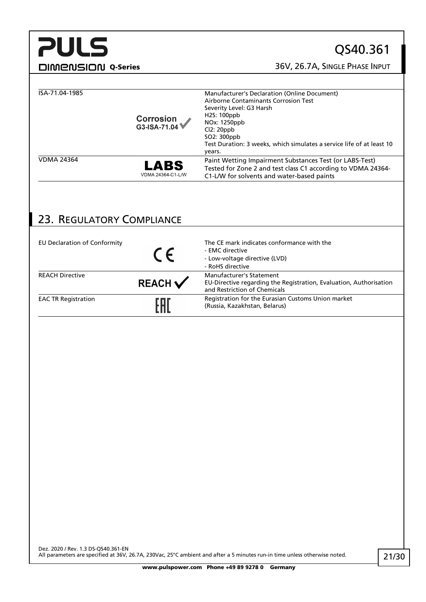## QS40.361

DIMENSION Q-Series 36V, 26.7A, SINGLE PHASE INPUT

| ISA-71.04-1985    | Corrosion<br>G3-ISA-71.04 | Manufacturer's Declaration (Online Document)<br>Airborne Contaminants Corrosion Test<br>Severity Level: G3 Harsh<br>H <sub>2</sub> S: 100ppb<br>NOx: 1250ppb<br>Cl2:20ppb<br>SO2: 300ppb<br>Test Duration: 3 weeks, which simulates a service life of at least 10<br>years. |
|-------------------|---------------------------|-----------------------------------------------------------------------------------------------------------------------------------------------------------------------------------------------------------------------------------------------------------------------------|
| <b>VDMA 24364</b> | LABS<br>VDMA 24364-C1-L/W | Paint Wetting Impairment Substances Test (or LABS-Test)<br>Tested for Zone 2 and test class C1 according to VDMA 24364-<br>C1-L/W for solvents and water-based paints                                                                                                       |

## <span id="page-20-0"></span>23. REGULATORY COMPLIANCE

| EU Declaration of Conformity |                    | The CE mark indicates conformance with the<br>- EMC directive<br>- Low-voltage directive (LVD)<br>- RoHS directive             |
|------------------------------|--------------------|--------------------------------------------------------------------------------------------------------------------------------|
| <b>REACH Directive</b>       | $REACH \checkmark$ | Manufacturer's Statement<br>EU-Directive regarding the Registration, Evaluation, Authorisation<br>and Restriction of Chemicals |
| <b>EAC TR Registration</b>   | FAI                | Registration for the Eurasian Customs Union market<br>(Russia, Kazakhstan, Belarus)                                            |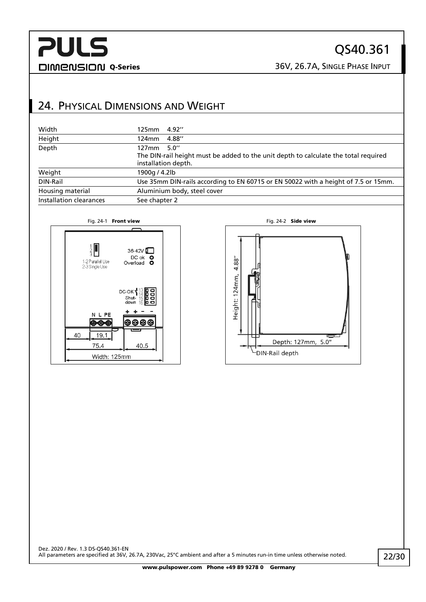## QS40.361

DIMENSION Q-Series 36V, 26.7A, SINGLE PHASE INPUT

## <span id="page-21-0"></span>24. PHYSICAL DIMENSIONS AND WEIGHT

| Width                   | 4.92''<br>125mm                                                                                                              |
|-------------------------|------------------------------------------------------------------------------------------------------------------------------|
| Height                  | 4.88"<br>124mm                                                                                                               |
| Depth                   | 5.0''<br>127mm<br>The DIN-rail height must be added to the unit depth to calculate the total required<br>installation depth. |
| Weight                  | 1900g / 4.2lb                                                                                                                |
| DIN-Rail                | Use 35mm DIN-rails according to EN 60715 or EN 50022 with a height of 7.5 or 15mm.                                           |
| Housing material        | Aluminium body, steel cover                                                                                                  |
| Installation clearances | See chapter 2                                                                                                                |



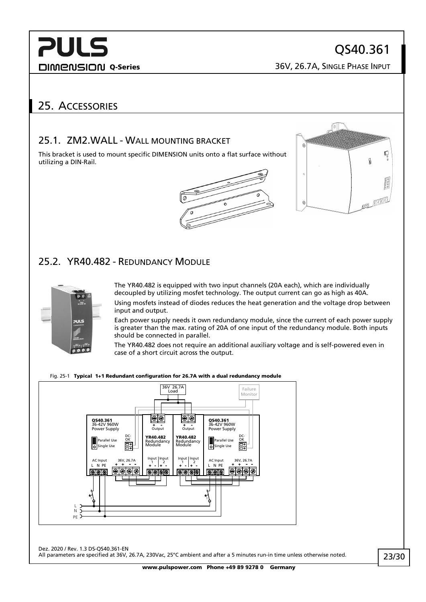**DIMENSION Q-Series** 26V, 26.7A, SINGLE PHASE INPUT

## <span id="page-22-1"></span><span id="page-22-0"></span>25. ACCESSORIES

### 25.1. ZM2.WALL - WALL MOUNTING BRACKET

This bracket is used to mount specific DIMENSION units onto a flat surface without utilizing a DIN-Rail.



### <span id="page-22-2"></span>25.2. YR40.482 - REDUNDANCY MODULE



The YR40.482 is equipped with two input channels (20A each), which are individually decoupled by utilizing mosfet technology. The output current can go as high as 40A. Using mosfets instead of diodes reduces the heat generation and the voltage drop between input and output.

Each power supply needs it own redundancy module, since the current of each power supply is greater than the max. rating of 20A of one input of the redundancy module. Both inputs should be connected in parallel.

The YR40.482 does not require an additional auxiliary voltage and is self-powered even in case of a short circuit across the output.

#### Fig. 25-1 Typical 1+1 Redundant configuration for 26.7A with a dual redundancy module

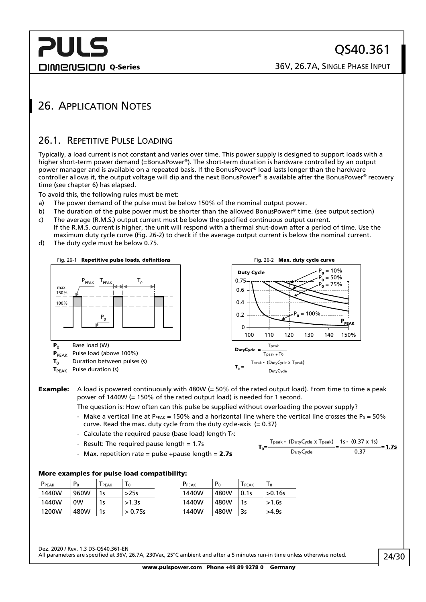**DIMENSION Q-Series** 26V, 26.7A, SINGLE PHASE INPUT

## <span id="page-23-1"></span><span id="page-23-0"></span>26. APPLICATION NOTES

### 26.1. REPETITIVE PULSE LOADING

Typically, a load current is not constant and varies over time. This power supply is designed to support loads with a higher short-term power demand (=BonusPower®). The short-term duration is hardware controlled by an output power manager and is available on a repeated basis. If the BonusPower® load lasts longer than the hardware controller allows it, the output voltage will dip and the next BonusPower® is available after the BonusPower® recovery time (see chapter [6\)](#page-6-0) has elapsed.

To avoid this, the following rules must be met:

- a) The power demand of the pulse must be below 150% of the nominal output power.
- b) The duration of the pulse power must be shorter than the allowed BonusPower® time. (see output section)
- c) The average (R.M.S.) output current must be below the specified continuous output current. If the R.M.S. current is higher, the unit will respond with a thermal shut-down after a period of time. Use the maximum duty cycle curve [\(Fig. 26-2\)](#page-23-2) to check if the average output current is below the nominal current.
- d) The duty cycle must be below 0.75.



**Example:** A load is powered continuously with 480W ( $= 50\%$  of the rated output load). From time to time a peak power of 1440W (= 150% of the rated output load) is needed for 1 second.

The question is: How often can this pulse be supplied without overloading the power supply?

- Make a vertical line at P $_{PEAK}$  = 150% and a horizontal line where the vertical line crosses the P<sub>0</sub> = 50% curve. Read the max. duty cycle from the duty cycle-axis  $(= 0.37)$
- Calculate the required pause (base load) length  $T_0$ :
- Result: The required pause length = 1.7s
- Max. repetition rate = pulse +pause length =  $2.7s$

<span id="page-23-2"></span>
$$
T_0 = \frac{T_{\text{peak}} - (D_{\text{uty}}C_{\text{ycle}} \times T_{\text{peak}})}{D_{\text{uty}}C_{\text{ycle}}} = \frac{1s - (0.37 \times 1s)}{0.37} = 1.7s
$$

#### More examples for pulse load compatibility:

| P <sub>PEAK</sub> | P <sub>0</sub> | PEAK | $\mathbf{1} \mathbf{0}$ | PPEAK | P <sub>0</sub> | ${\mathsf T}_{\sf PEAK}$ | $\overline{0}$ |
|-------------------|----------------|------|-------------------------|-------|----------------|--------------------------|----------------|
| 1440W             | 960W           | 1s   | >25s                    | 1440W | 480W           | 0.1s                     | >0.16s         |
| 1440W             | 0W             |      | >1.3s                   | 1440W | 480W           | 1s                       | $>1.6s$        |
| 1200W             | 480W           | 1s   | > 0.75s                 | 1440W | 480W           | 3s                       | >4.9s          |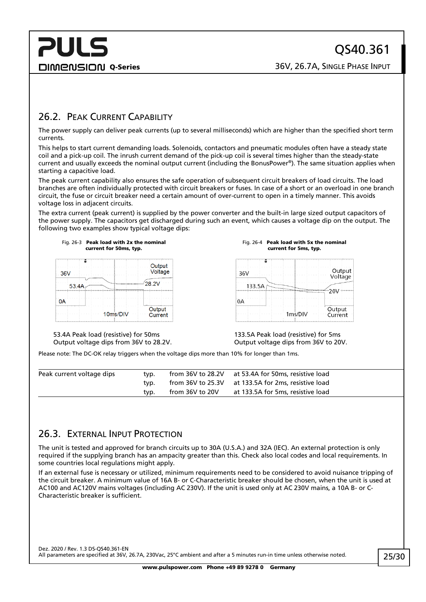**DIMENSION Q-Series** 26V, 26.7A, SINGLE PHASE INPUT

### <span id="page-24-0"></span>26.2. PEAK CURRENT CAPABILITY

The power supply can deliver peak currents (up to several milliseconds) which are higher than the specified short term currents.

This helps to start current demanding loads. Solenoids, contactors and pneumatic modules often have a steady state coil and a pick-up coil. The inrush current demand of the pick-up coil is several times higher than the steady-state current and usually exceeds the nominal output current (including the BonusPower®). The same situation applies when starting a capacitive load.

The peak current capability also ensures the safe operation of subsequent circuit breakers of load circuits. The load branches are often individually protected with circuit breakers or fuses. In case of a short or an overload in one branch circuit, the fuse or circuit breaker need a certain amount of over-current to open in a timely manner. This avoids voltage loss in adjacent circuits.

The extra current (peak current) is supplied by the power converter and the built-in large sized output capacitors of the power supply. The capacitors get discharged during such an event, which causes a voltage dip on the output. The following two examples show typical voltage dips:



Fig. 26-4 Peak load with 5x the nominal current for 5ms, typ.



53.4A Peak load (resistive) for 50ms Output voltage dips from 36V to 28.2V.

133.5A Peak load (resistive) for 5ms Output voltage dips from 36V to 20V.

Please note: The DC-OK relay triggers when the voltage dips more than 10% for longer than 1ms.

| Peak current voltage dips | tvp. |                 | from 36V to 28.2V at 53.4A for 50ms, resistive load |  |
|---------------------------|------|-----------------|-----------------------------------------------------|--|
|                           | tvp. |                 | from 36V to 25.3V at 133.5A for 2ms, resistive load |  |
|                           | tvp. | from 36V to 20V | at 133.5A for 5ms, resistive load                   |  |

### <span id="page-24-1"></span>26.3. EXTERNAL INPUT PROTECTION

The unit is tested and approved for branch circuits up to 30A (U.S.A.) and 32A (IEC). An external protection is only required if the supplying branch has an ampacity greater than this. Check also local codes and local requirements. In some countries local regulations might apply.

If an external fuse is necessary or utilized, minimum requirements need to be considered to avoid nuisance tripping of the circuit breaker. A minimum value of 16A B- or C-Characteristic breaker should be chosen, when the unit is used at AC100 and AC120V mains voltages (including AC 230V). If the unit is used only at AC 230V mains, a 10A B- or C-Characteristic breaker is sufficient.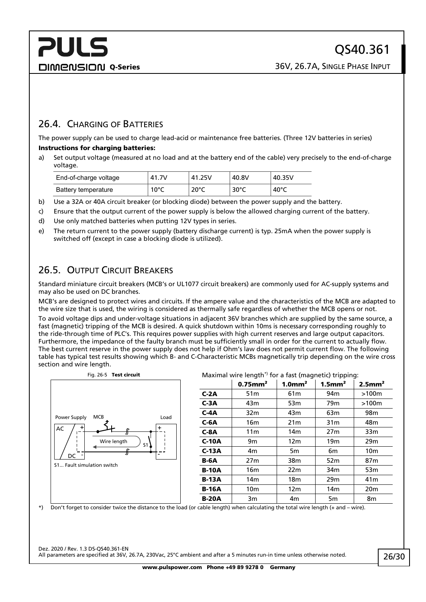### <span id="page-25-0"></span>26.4. CHARGING OF BATTERIES

The power supply can be used to charge lead-acid or maintenance free batteries. (Three 12V batteries in series) Instructions for charging batteries:

a) Set output voltage (measured at no load and at the battery end of the cable) very precisely to the end-of-charge voltage.

| End-of-charge voltage | 41.7V          | 41.25V         | 40.8V          | 40.35V          |
|-----------------------|----------------|----------------|----------------|-----------------|
| Battery temperature   | $10^{\circ}$ C | $20^{\circ}$ C | $30^{\circ}$ C | 40 $^{\circ}$ C |

- b) Use a 32A or 40A circuit breaker (or blocking diode) between the power supply and the battery.
- c) Ensure that the output current of the power supply is below the allowed charging current of the battery.
- d) Use only matched batteries when putting 12V types in series.
- <span id="page-25-1"></span>e) The return current to the power supply (battery discharge current) is typ. 25mA when the power supply is switched off (except in case a blocking diode is utilized).

### 26.5. OUTPUT CIRCUIT BREAKERS

Standard miniature circuit breakers (MCB's or UL1077 circuit breakers) are commonly used for AC-supply systems and may also be used on DC branches.

MCB's are designed to protect wires and circuits. If the ampere value and the characteristics of the MCB are adapted to the wire size that is used, the wiring is considered as thermally safe regardless of whether the MCB opens or not.

To avoid voltage dips and under-voltage situations in adjacent 36V branches which are supplied by the same source, a fast (magnetic) tripping of the MCB is desired. A quick shutdown within 10ms is necessary corresponding roughly to the ride-through time of PLC's. This requires power supplies with high current reserves and large output capacitors. Furthermore, the impedance of the faulty branch must be sufficiently small in order for the current to actually flow. The best current reserve in the power supply does not help if Ohm's law does not permit current flow. The following table has typical test results showing which B- and C-Characteristic MCBs magnetically trip depending on the wire cross section and wire length.



#### Fig. 26-5 Test circuit **Example 26-5 Test circuit** Maximal wire length<sup>\*</sup>) for a fast (magnetic) tripping:

|              | <b>Maximal Wile length Tol a last (magnetic) tripping.</b> |                       |                       |                       |
|--------------|------------------------------------------------------------|-----------------------|-----------------------|-----------------------|
|              | $0.75$ mm <sup>2</sup>                                     | $1.0$ mm <sup>2</sup> | $1.5$ mm <sup>2</sup> | $2.5$ mm <sup>2</sup> |
| $C-2A$       | 51m                                                        | 61 <sub>m</sub>       | 94 <sub>m</sub>       | >100m                 |
| $C-3A$       | 43m                                                        | 53 <sub>m</sub>       | 79 <sub>m</sub>       | >100m                 |
| $C-4A$       | 32 <sub>m</sub>                                            | 43m                   | 63m                   | 98 <sub>m</sub>       |
| $C-6A$       | 16m                                                        | 21 <sub>m</sub>       | 31 <sub>m</sub>       | 48 <sub>m</sub>       |
| $C-8A$       | 11 <sub>m</sub>                                            | 14 <sub>m</sub>       | 27m                   | 33m                   |
| $C-10A$      | 9m                                                         | 12 <sub>m</sub>       | 19 <sub>m</sub>       | 29 <sub>m</sub>       |
| $C-13A$      | 4m                                                         | 5m                    | 6m                    | 10 <sub>m</sub>       |
| <b>B-6A</b>  | 27 <sub>m</sub>                                            | 38m                   | 52m                   | 87 <sub>m</sub>       |
| <b>B-10A</b> | 16 <sub>m</sub>                                            | 22m                   | 34 <sub>m</sub>       | 53 <sub>m</sub>       |
| <b>B-13A</b> | 14 <sub>m</sub>                                            | 18 <sub>m</sub>       | 29 <sub>m</sub>       | 41 <sub>m</sub>       |
| <b>B-16A</b> | 10 <sub>m</sub>                                            | 12m                   | 14 <sub>m</sub>       | 20 <sub>m</sub>       |
| <b>B-20A</b> | 3m                                                         | 4m                    | 5 <sub>m</sub>        | 8m                    |

\*) Don't forget to consider twice the distance to the load (or cable length) when calculating the total wire length (+ and – wire).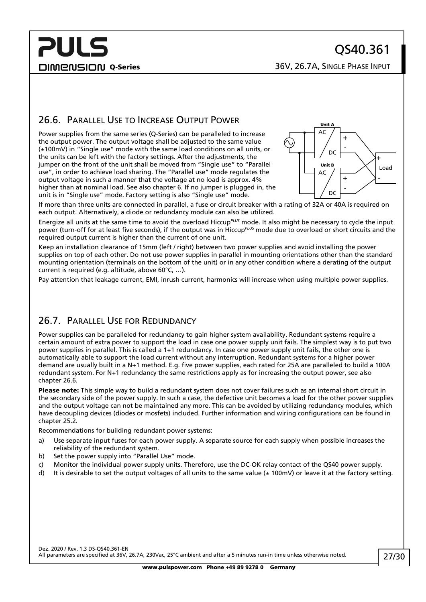DIMENSION Q-Series 26V, 26.7A, SINGLE PHASE INPUT

### <span id="page-26-0"></span>26.6. PARALLEL USE TO INCREASE OUTPUT POWER

Power supplies from the same series (Q-Series) can be paralleled to increase the output power. The output voltage shall be adjusted to the same value (±100mV) in "Single use" mode with the same load conditions on all units, or the units can be left with the factory settings. After the adjustments, the jumper on the front of the unit shall be moved from "Single use" to "Parallel use", in order to achieve load sharing. The "Parallel use" mode regulates the output voltage in such a manner that the voltage at no load is approx. 4% higher than at nominal load. See also chapte[r 6.](#page-6-0) If no jumper is plugged in, the unit is in "Single use" mode. Factory setting is also "Single use" mode.



If more than three units are connected in parallel, a fuse or circuit breaker with a rating of 32A or 40A is required on each output. Alternatively, a diode or redundancy module can also be utilized.

Energize all units at the same time to avoid the overload Hiccup*PLUS* mode. It also might be necessary to cycle the input power (turn-off for at least five seconds), if the output was in Hiccup*PLUS* mode due to overload or short circuits and the required output current is higher than the current of one unit.

Keep an installation clearance of 15mm (left / right) between two power supplies and avoid installing the power supplies on top of each other. Do not use power supplies in parallel in mounting orientations other than the standard mounting orientation (terminals on the bottom of the unit) or in any other condition where a derating of the output current is required (e.g. altitude, above 60°C, …).

<span id="page-26-1"></span>Pay attention that leakage current, EMI, inrush current, harmonics will increase when using multiple power supplies.

### 26.7. PARALLEL USE FOR REDUNDANCY

Power supplies can be paralleled for redundancy to gain higher system availability. Redundant systems require a certain amount of extra power to support the load in case one power supply unit fails. The simplest way is to put two power supplies in parallel. This is called a 1+1 redundancy. In case one power supply unit fails, the other one is automatically able to support the load current without any interruption. Redundant systems for a higher power demand are usually built in a N+1 method. E.g. five power supplies, each rated for 25A are paralleled to build a 100A redundant system. For N+1 redundancy the same restrictions apply as for increasing the output power, see also chapter [26.6.](#page-26-0)

Please note: This simple way to build a redundant system does not cover failures such as an internal short circuit in the secondary side of the power supply. In such a case, the defective unit becomes a load for the other power supplies and the output voltage can not be maintained any more. This can be avoided by utilizing redundancy modules, which have decoupling devices (diodes or mosfets) included. Further information and wiring configurations can be found in chapter [25.2.](#page-22-2)

Recommendations for building redundant power systems:

- a) Use separate input fuses for each power supply. A separate source for each supply when possible increases the reliability of the redundant system.
- b) Set the power supply into "Parallel Use" mode.
- c) Monitor the individual power supply units. Therefore, use the DC-OK relay contact of the QS40 power supply.
- d) It is desirable to set the output voltages of all units to the same value ( $\pm$  100mV) or leave it at the factory setting.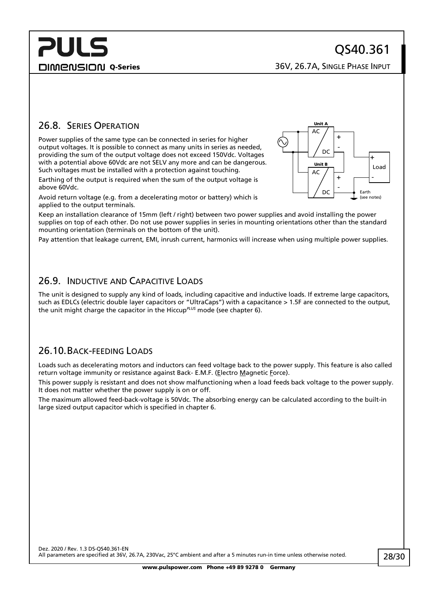**DIMENSION Q-Series** 26V, 26.7A, SINGLE PHASE INPUT

### <span id="page-27-0"></span>26.8. SERIES OPERATION

Power supplies of the same type can be connected in series for higher output voltages. It is possible to connect as many units in series as needed, providing the sum of the output voltage does not exceed 150Vdc. Voltages with a potential above 60Vdc are not SELV any more and can be dangerous. Such voltages must be installed with a protection against touching.

Earthing of the output is required when the sum of the output voltage is above 60Vdc.

Avoid return voltage (e.g. from a decelerating motor or battery) which is applied to the output terminals.

Keep an installation clearance of 15mm (left / right) between two power supplies and avoid installing the power supplies on top of each other. Do not use power supplies in series in mounting orientations other than the standard mounting orientation (terminals on the bottom of the unit).

<span id="page-27-1"></span>Pay attention that leakage current, EMI, inrush current, harmonics will increase when using multiple power supplies.

### 26.9. INDUCTIVE AND CAPACITIVE LOADS

The unit is designed to supply any kind of loads, including capacitive and inductive loads. If extreme large capacitors, such as EDLCs (electric double layer capacitors or "UltraCaps") with a capacitance > 1.5F are connected to the output, the unit might charge the capacitor in the Hiccup*PLUS* mode (see chapter [6\)](#page-6-0).

### <span id="page-27-2"></span>26.10.BACK-FEEDING LOADS

Loads such as decelerating motors and inductors can feed voltage back to the power supply. This feature is also called return voltage immunity or resistance against Back- E.M.F. (Electro Magnetic Force).

This power supply is resistant and does not show malfunctioning when a load feeds back voltage to the power supply. It does not matter whether the power supply is on or off.

The maximum allowed feed-back-voltage is 50Vdc. The absorbing energy can be calculated according to the built-in large sized output capacitor which is specified in chapter [6.](#page-6-0)

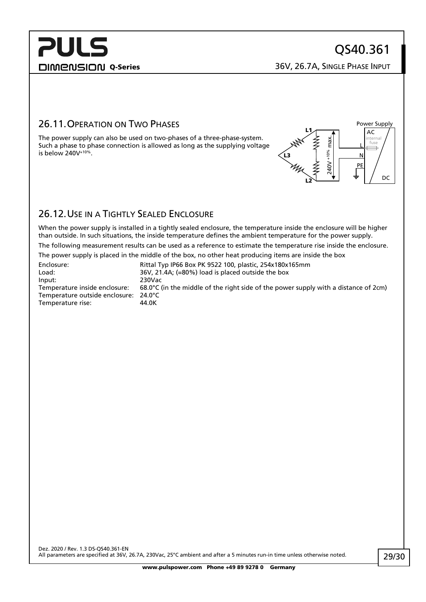L N PE

Power Supply AC

> internal fuse

> > DC

DIMENSION Q-Series 36V, 26.7A, SINGLE PHASE INPUT

 $240V + 10%$  max.

%01+ V0tz

max.

L2

L3

L1

### <span id="page-28-0"></span>26.11.OPERATION ON TWO PHASES

The power supply can also be used on two-phases of a three-phase-system. Such a phase to phase connection is allowed as long as the supplying voltage is below  $240V^{+10\%}$ .

<span id="page-28-1"></span>

When the power supply is installed in a tightly sealed enclosure, the temperature inside the enclosure will be higher than outside. In such situations, the inside temperature defines the ambient temperature for the power supply.

The following measurement results can be used as a reference to estimate the temperature rise inside the enclosure.

The power supply is placed in the middle of the box, no other heat producing items are inside the box

| Enclosure:                            | Rittal Typ IP66 Box PK 9522 100, plastic, 254x180x165mm                                       |
|---------------------------------------|-----------------------------------------------------------------------------------------------|
| Load:                                 | 36V, 21.4A; (=80%) load is placed outside the box                                             |
| Input:                                | 230Vac                                                                                        |
| Temperature inside enclosure:         | 68.0 $\degree$ C (in the middle of the right side of the power supply with a distance of 2cm) |
| Temperature outside enclosure: 24.0°C |                                                                                               |
| Temperature rise:                     | 44.0K                                                                                         |